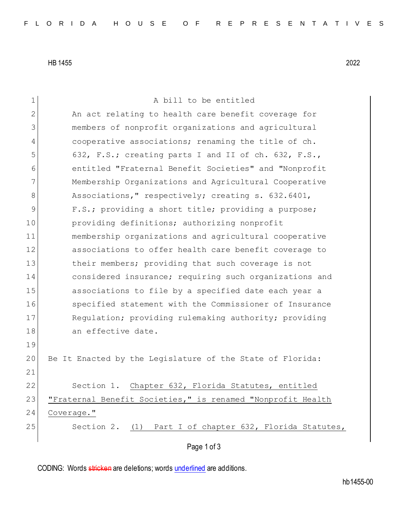HB 1455 2022

| 1            | A bill to be entitled                                       |
|--------------|-------------------------------------------------------------|
| $\mathbf{2}$ | An act relating to health care benefit coverage for         |
| 3            | members of nonprofit organizations and agricultural         |
| 4            | cooperative associations; renaming the title of ch.         |
| 5            | 632, F.S.; creating parts I and II of ch. 632, F.S.,        |
| 6            | entitled "Fraternal Benefit Societies" and "Nonprofit       |
| 7            | Membership Organizations and Agricultural Cooperative       |
| 8            | Associations," respectively; creating s. 632.6401,          |
| 9            | F.S.; providing a short title; providing a purpose;         |
| 10           | providing definitions; authorizing nonprofit                |
| 11           | membership organizations and agricultural cooperative       |
| 12           | associations to offer health care benefit coverage to       |
| 13           | their members; providing that such coverage is not          |
| 14           | considered insurance; requiring such organizations and      |
| 15           | associations to file by a specified date each year a        |
| 16           | specified statement with the Commissioner of Insurance      |
| 17           | Regulation; providing rulemaking authority; providing       |
| 18           | an effective date.                                          |
| 19           |                                                             |
| 20           | Be It Enacted by the Legislature of the State of Florida:   |
| 21           |                                                             |
| 22           | Section 1. Chapter 632, Florida Statutes, entitled          |
| 23           | "Fraternal Benefit Societies," is renamed "Nonprofit Health |
| 24           | Coverage."                                                  |
| 25           | Section 2. (1) Part I of chapter 632, Florida Statutes,     |
|              | Page 1 of 3                                                 |
|              |                                                             |

CODING: Words stricken are deletions; words underlined are additions.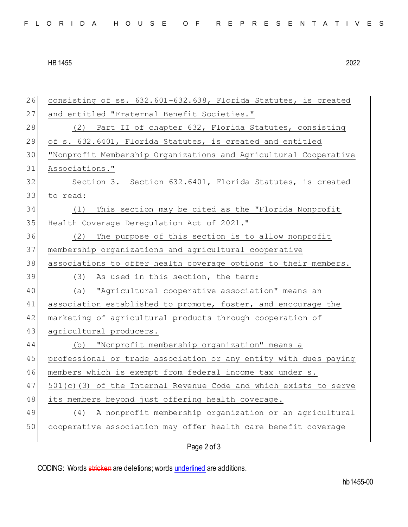## HB 1455 2022

| 26 | consisting of ss. 632.601-632.638, Florida Statutes, is created     |
|----|---------------------------------------------------------------------|
| 27 | and entitled "Fraternal Benefit Societies."                         |
| 28 | (2) Part II of chapter 632, Florida Statutes, consisting            |
| 29 | of s. 632.6401, Florida Statutes, is created and entitled           |
| 30 | "Nonprofit Membership Organizations and Agricultural Cooperative    |
| 31 | Associations."                                                      |
| 32 | Section 3. Section 632.6401, Florida Statutes, is created           |
| 33 | to read:                                                            |
| 34 | This section may be cited as the "Florida Nonprofit<br>(1)          |
| 35 | Health Coverage Deregulation Act of 2021."                          |
| 36 | The purpose of this section is to allow nonprofit<br>(2)            |
| 37 | membership organizations and agricultural cooperative               |
| 38 | associations to offer health coverage options to their members.     |
| 39 | (3) As used in this section, the term:                              |
| 40 | "Agricultural cooperative association" means an<br>(a)              |
| 41 | association established to promote, foster, and encourage the       |
| 42 | marketing of agricultural products through cooperation of           |
| 43 | agricultural producers.                                             |
| 44 | (b) "Nonprofit membership organization" means a                     |
| 45 | professional or trade association or any entity with dues paying    |
| 46 | members which is exempt from federal income tax under s.            |
| 47 | $501(c)$ (3) of the Internal Revenue Code and which exists to serve |
| 48 | its members beyond just offering health coverage.                   |
| 49 | A nonprofit membership organization or an agricultural<br>(4)       |
| 50 | cooperative association may offer health care benefit coverage      |
|    | Page 2 of 3                                                         |

CODING: Words stricken are deletions; words underlined are additions.